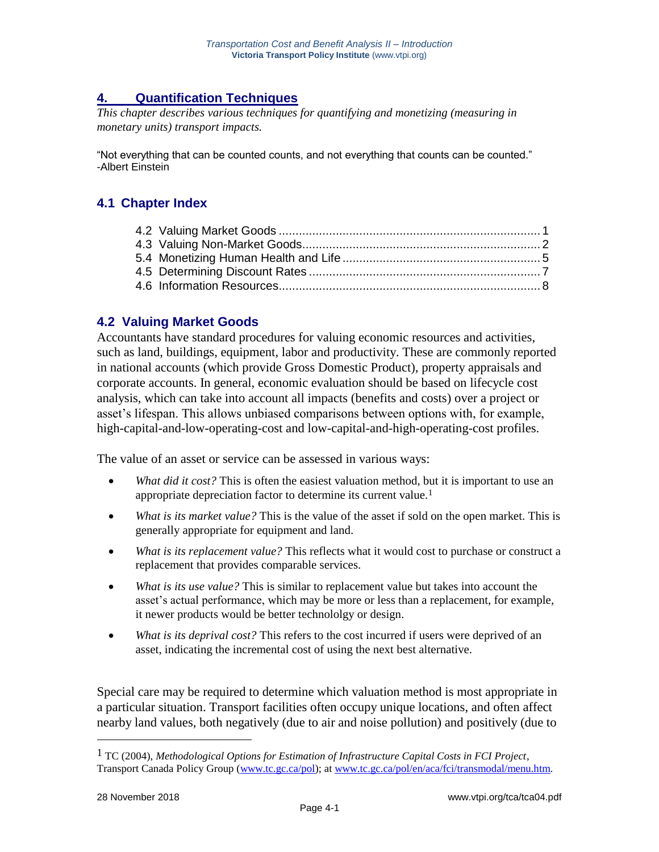# **4. Quantification Techniques**

*This chapter describes various techniques for quantifying and monetizing (measuring in monetary units) transport impacts.*

"Not everything that can be counted counts, and not everything that counts can be counted." -Albert Einstein

## **4.1 Chapter Index**

### **4.2 Valuing Market Goods**

Accountants have standard procedures for valuing economic resources and activities, such as land, buildings, equipment, labor and productivity. These are commonly reported in national accounts (which provide Gross Domestic Product), property appraisals and corporate accounts. In general, economic evaluation should be based on lifecycle cost analysis, which can take into account all impacts (benefits and costs) over a project or asset's lifespan. This allows unbiased comparisons between options with, for example, high-capital-and-low-operating-cost and low-capital-and-high-operating-cost profiles.

The value of an asset or service can be assessed in various ways:

- *What did it cost?* This is often the easiest valuation method, but it is important to use an appropriate depreciation factor to determine its current value.<sup>1</sup>
- *What is its market value?* This is the value of the asset if sold on the open market. This is generally appropriate for equipment and land.
- *What is its replacement value?* This reflects what it would cost to purchase or construct a replacement that provides comparable services.
- *What is its use value?* This is similar to replacement value but takes into account the asset's actual performance, which may be more or less than a replacement, for example, it newer products would be better technololgy or design.
- *What is its deprival cost?* This refers to the cost incurred if users were deprived of an asset, indicating the incremental cost of using the next best alternative.

Special care may be required to determine which valuation method is most appropriate in a particular situation. Transport facilities often occupy unique locations, and often affect nearby land values, both negatively (due to air and noise pollution) and positively (due to

<sup>1</sup> TC (2004), *Methodological Options for Estimation of Infrastructure Capital Costs in FCI Project*, Transport Canada Policy Group [\(www.tc.gc.ca/pol\)](http://www.tc.gc.ca/pol); at [www.tc.gc.ca/pol/en/aca/fci/transmodal/menu.htm.](http://www.tc.gc.ca/pol/en/aca/fci/transmodal/menu.htm)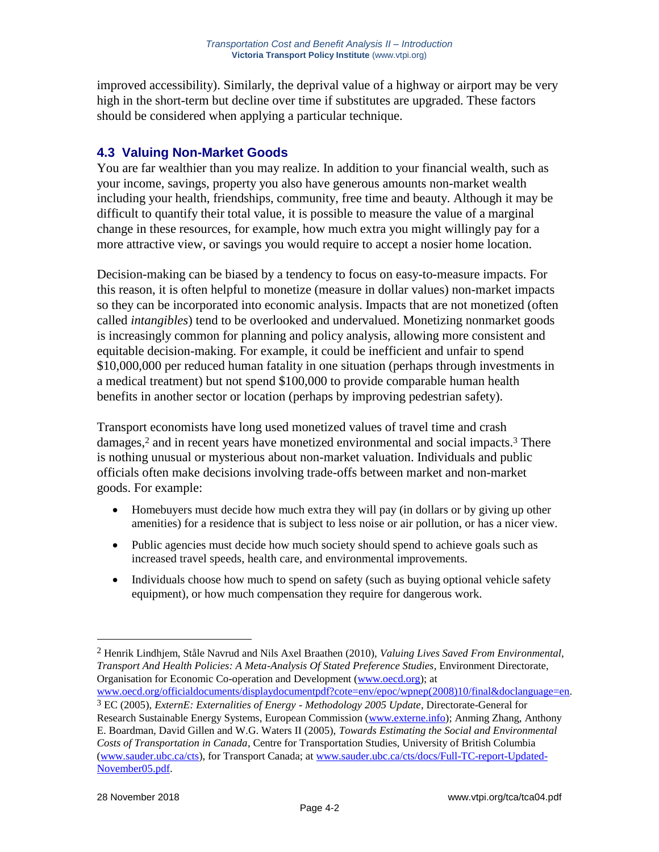improved accessibility). Similarly, the deprival value of a highway or airport may be very high in the short-term but decline over time if substitutes are upgraded. These factors should be considered when applying a particular technique.

## **4.3 Valuing Non-Market Goods**

You are far wealthier than you may realize. In addition to your financial wealth, such as your income, savings, property you also have generous amounts non-market wealth including your health, friendships, community, free time and beauty. Although it may be difficult to quantify their total value, it is possible to measure the value of a marginal change in these resources, for example, how much extra you might willingly pay for a more attractive view, or savings you would require to accept a nosier home location.

Decision-making can be biased by a tendency to focus on easy-to-measure impacts. For this reason, it is often helpful to monetize (measure in dollar values) non-market impacts so they can be incorporated into economic analysis. Impacts that are not monetized (often called *intangibles*) tend to be overlooked and undervalued. Monetizing nonmarket goods is increasingly common for planning and policy analysis, allowing more consistent and equitable decision-making. For example, it could be inefficient and unfair to spend \$10,000,000 per reduced human fatality in one situation (perhaps through investments in a medical treatment) but not spend \$100,000 to provide comparable human health benefits in another sector or location (perhaps by improving pedestrian safety).

Transport economists have long used monetized values of travel time and crash damages,<sup>2</sup> and in recent years have monetized environmental and social impacts.<sup>3</sup> There is nothing unusual or mysterious about non-market valuation. Individuals and public officials often make decisions involving trade-offs between market and non-market goods. For example:

- Homebuyers must decide how much extra they will pay (in dollars or by giving up other amenities) for a residence that is subject to less noise or air pollution, or has a nicer view.
- Public agencies must decide how much society should spend to achieve goals such as increased travel speeds, health care, and environmental improvements.
- Individuals choose how much to spend on safety (such as buying optional vehicle safety equipment), or how much compensation they require for dangerous work.

<sup>2</sup> Henrik Lindhjem, Ståle Navrud and Nils Axel Braathen (2010), *Valuing Lives Saved From Environmental, Transport And Health Policies: A Meta-Analysis Of Stated Preference Studies*, Environment Directorate, Organisation for Economic Co-operation and Development [\(www.oecd.org\)](http://www.oecd.org/); at

[www.oecd.org/officialdocuments/displaydocumentpdf?cote=env/epoc/wpnep\(2008\)10/final&doclanguage=en.](http://www.oecd.org/officialdocuments/displaydocumentpdf?cote=env/epoc/wpnep(2008)10/final&doclanguage=en) 3 EC (2005), *ExternE: Externalities of Energy - Methodology 2005 Update*, Directorate-General for Research Sustainable Energy Systems, European Commission [\(www.externe.info\)](http://www.externe.info/); Anming Zhang, Anthony E. Boardman, David Gillen and W.G. Waters II (2005), *Towards Estimating the Social and Environmental Costs of Transportation in Canada*, Centre for Transportation Studies, University of British Columbia [\(www.sauder.ubc.ca/cts\)](http://www.sauder.ubc.ca/cts), for Transport Canada; at [www.sauder.ubc.ca/cts/docs/Full-TC-report-Updated-](http://www.sauder.ubc.ca/cts/docs/Full-TC-report-Updated-November05.pdf)[November05.pdf.](http://www.sauder.ubc.ca/cts/docs/Full-TC-report-Updated-November05.pdf)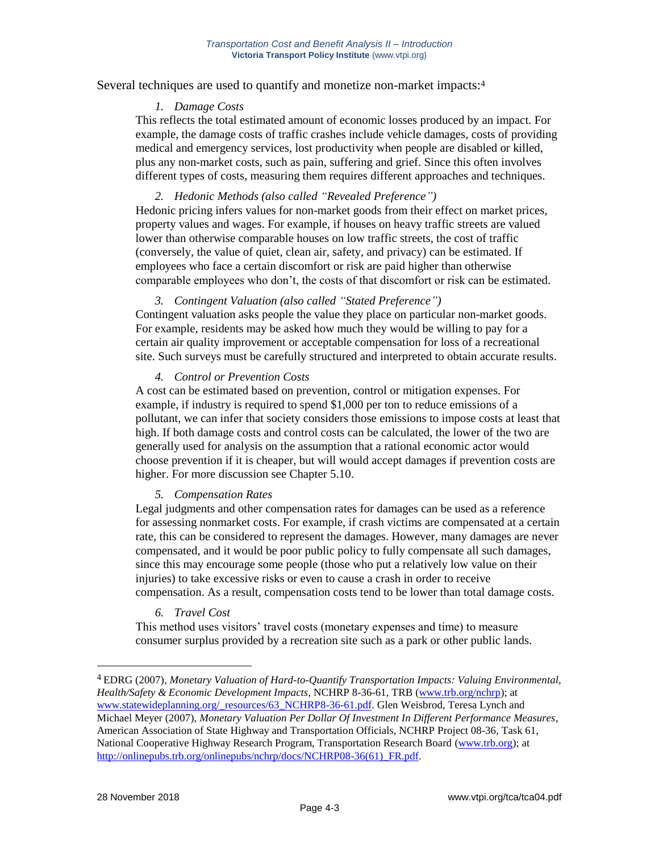#### Several techniques are used to quantify and monetize non-market impacts:<sup>4</sup>

#### *1. Damage Costs*

This reflects the total estimated amount of economic losses produced by an impact. For example, the damage costs of traffic crashes include vehicle damages, costs of providing medical and emergency services, lost productivity when people are disabled or killed, plus any non-market costs, such as pain, suffering and grief. Since this often involves different types of costs, measuring them requires different approaches and techniques.

#### *2. Hedonic Methods (also called "Revealed Preference")*

Hedonic pricing infers values for non-market goods from their effect on market prices, property values and wages. For example, if houses on heavy traffic streets are valued lower than otherwise comparable houses on low traffic streets, the cost of traffic (conversely, the value of quiet, clean air, safety, and privacy) can be estimated. If employees who face a certain discomfort or risk are paid higher than otherwise comparable employees who don't, the costs of that discomfort or risk can be estimated.

#### *3. Contingent Valuation (also called "Stated Preference")*

Contingent valuation asks people the value they place on particular non-market goods. For example, residents may be asked how much they would be willing to pay for a certain air quality improvement or acceptable compensation for loss of a recreational site. Such surveys must be carefully structured and interpreted to obtain accurate results.

#### *4. Control or Prevention Costs*

A cost can be estimated based on prevention, control or mitigation expenses. For example, if industry is required to spend \$1,000 per ton to reduce emissions of a pollutant, we can infer that society considers those emissions to impose costs at least that high. If both damage costs and control costs can be calculated, the lower of the two are generally used for analysis on the assumption that a rational economic actor would choose prevention if it is cheaper, but will would accept damages if prevention costs are higher. For more discussion see Chapter 5.10.

#### *5. Compensation Rates*

Legal judgments and other compensation rates for damages can be used as a reference for assessing nonmarket costs. For example, if crash victims are compensated at a certain rate, this can be considered to represent the damages. However, many damages are never compensated, and it would be poor public policy to fully compensate all such damages, since this may encourage some people (those who put a relatively low value on their injuries) to take excessive risks or even to cause a crash in order to receive compensation. As a result, compensation costs tend to be lower than total damage costs.

#### *6. Travel Cost*

This method uses visitors' travel costs (monetary expenses and time) to measure consumer surplus provided by a recreation site such as a park or other public lands.

<sup>4</sup> EDRG (2007), *Monetary Valuation of Hard-to-Quantify Transportation Impacts: Valuing Environmental, Health/Safety & Economic Development Impacts*, NCHRP 8-36-61, TRB [\(www.trb.org/nchrp\)](http://www.trb.org/nchrp); at [www.statewideplanning.org/\\_resources/63\\_NCHRP8-36-61.pdf.](http://www.statewideplanning.org/_resources/63_NCHRP8-36-61.pdf) Glen Weisbrod, Teresa Lynch and Michael Meyer (2007), *Monetary Valuation Per Dollar Of Investment In Different Performance Measures*, American Association of State Highway and Transportation Officials, NCHRP Project 08-36, Task 61, National Cooperative Highway Research Program, Transportation Research Board [\(www.trb.org\)](http://www.trb.org/); at http://onlinepubs.trb.org/onlinepubs/nchrp/docs/NCHRP08-36(61) FR.pdf.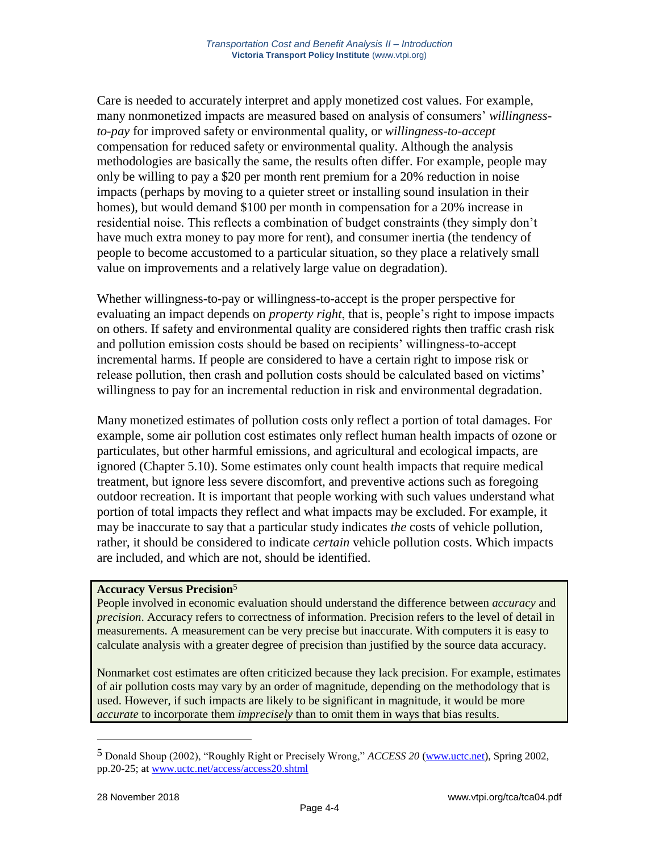Care is needed to accurately interpret and apply monetized cost values. For example, many nonmonetized impacts are measured based on analysis of consumers' *willingnessto-pay* for improved safety or environmental quality, or *willingness-to-accept* compensation for reduced safety or environmental quality. Although the analysis methodologies are basically the same, the results often differ. For example, people may only be willing to pay a \$20 per month rent premium for a 20% reduction in noise impacts (perhaps by moving to a quieter street or installing sound insulation in their homes), but would demand \$100 per month in compensation for a 20% increase in residential noise. This reflects a combination of budget constraints (they simply don't have much extra money to pay more for rent), and consumer inertia (the tendency of people to become accustomed to a particular situation, so they place a relatively small value on improvements and a relatively large value on degradation).

Whether willingness-to-pay or willingness-to-accept is the proper perspective for evaluating an impact depends on *property right*, that is, people's right to impose impacts on others. If safety and environmental quality are considered rights then traffic crash risk and pollution emission costs should be based on recipients' willingness-to-accept incremental harms. If people are considered to have a certain right to impose risk or release pollution, then crash and pollution costs should be calculated based on victims' willingness to pay for an incremental reduction in risk and environmental degradation.

Many monetized estimates of pollution costs only reflect a portion of total damages. For example, some air pollution cost estimates only reflect human health impacts of ozone or particulates, but other harmful emissions, and agricultural and ecological impacts, are ignored (Chapter 5.10). Some estimates only count health impacts that require medical treatment, but ignore less severe discomfort, and preventive actions such as foregoing outdoor recreation. It is important that people working with such values understand what portion of total impacts they reflect and what impacts may be excluded. For example, it may be inaccurate to say that a particular study indicates *the* costs of vehicle pollution, rather, it should be considered to indicate *certain* vehicle pollution costs. Which impacts are included, and which are not, should be identified.

#### **Accuracy Versus Precision**<sup>5</sup>

People involved in economic evaluation should understand the difference between *accuracy* and *precision*. Accuracy refers to correctness of information. Precision refers to the level of detail in measurements. A measurement can be very precise but inaccurate. With computers it is easy to calculate analysis with a greater degree of precision than justified by the source data accuracy.

Nonmarket cost estimates are often criticized because they lack precision. For example, estimates of air pollution costs may vary by an order of magnitude, depending on the methodology that is used. However, if such impacts are likely to be significant in magnitude, it would be more *accurate* to incorporate them *imprecisely* than to omit them in ways that bias results.

<sup>5</sup> Donald Shoup (2002), "Roughly Right or Precisely Wrong," *ACCESS 20* [\(www.uctc.net\)](http://www.uctc.net/), Spring 2002, pp.20-25; at [www.uctc.net/access/access20.shtml](http://www.uctc.net/access/access20.shtml)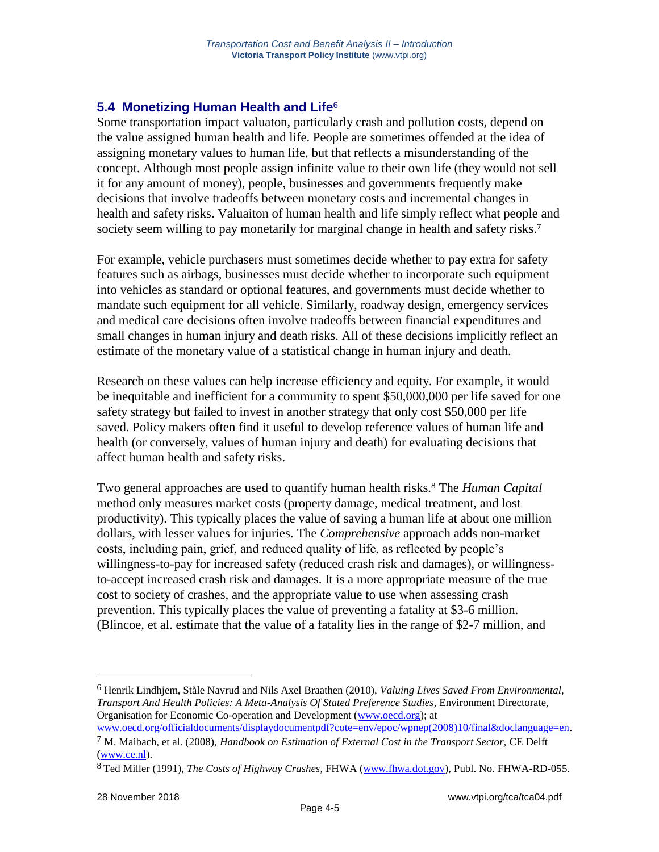# **5.4 Monetizing Human Health and Life**<sup>6</sup>

Some transportation impact valuaton, particularly crash and pollution costs, depend on the value assigned human health and life. People are sometimes offended at the idea of assigning monetary values to human life, but that reflects a misunderstanding of the concept. Although most people assign infinite value to their own life (they would not sell it for any amount of money), people, businesses and governments frequently make decisions that involve tradeoffs between monetary costs and incremental changes in health and safety risks. Valuaiton of human health and life simply reflect what people and society seem willing to pay monetarily for marginal change in health and safety risks. **7**

For example, vehicle purchasers must sometimes decide whether to pay extra for safety features such as airbags, businesses must decide whether to incorporate such equipment into vehicles as standard or optional features, and governments must decide whether to mandate such equipment for all vehicle. Similarly, roadway design, emergency services and medical care decisions often involve tradeoffs between financial expenditures and small changes in human injury and death risks. All of these decisions implicitly reflect an estimate of the monetary value of a statistical change in human injury and death.

Research on these values can help increase efficiency and equity. For example, it would be inequitable and inefficient for a community to spent \$50,000,000 per life saved for one safety strategy but failed to invest in another strategy that only cost \$50,000 per life saved. Policy makers often find it useful to develop reference values of human life and health (or conversely, values of human injury and death) for evaluating decisions that affect human health and safety risks.

Two general approaches are used to quantify human health risks.<sup>8</sup> The *Human Capital* method only measures market costs (property damage, medical treatment, and lost productivity). This typically places the value of saving a human life at about one million dollars, with lesser values for injuries. The *Comprehensive* approach adds non-market costs, including pain, grief, and reduced quality of life, as reflected by people's willingness-to-pay for increased safety (reduced crash risk and damages), or willingnessto-accept increased crash risk and damages. It is a more appropriate measure of the true cost to society of crashes, and the appropriate value to use when assessing crash prevention. This typically places the value of preventing a fatality at \$3-6 million. (Blincoe, et al. estimate that the value of a fatality lies in the range of \$2-7 million, and

<sup>6</sup> Henrik Lindhjem, Ståle Navrud and Nils Axel Braathen (2010), *Valuing Lives Saved From Environmental, Transport And Health Policies: A Meta-Analysis Of Stated Preference Studies*, Environment Directorate, Organisation for Economic Co-operation and Development [\(www.oecd.org\)](http://www.oecd.org/); at

[www.oecd.org/officialdocuments/displaydocumentpdf?cote=env/epoc/wpnep\(2008\)10/final&doclanguage=en.](http://www.oecd.org/officialdocuments/displaydocumentpdf?cote=env/epoc/wpnep(2008)10/final&doclanguage=en) 7 M. Maibach, et al. (2008), *Handbook on Estimation of External Cost in the Transport Sector,* CE Delft

[<sup>\(</sup>www.ce.nl\)](http://www.ce.nl/). 8 Ted Miller (1991), *The Costs of Highway Crashes*, FHWA [\(www.fhwa.dot.gov\)](http://www.fhwa.dot.gov/), Publ. No. FHWA-RD-055.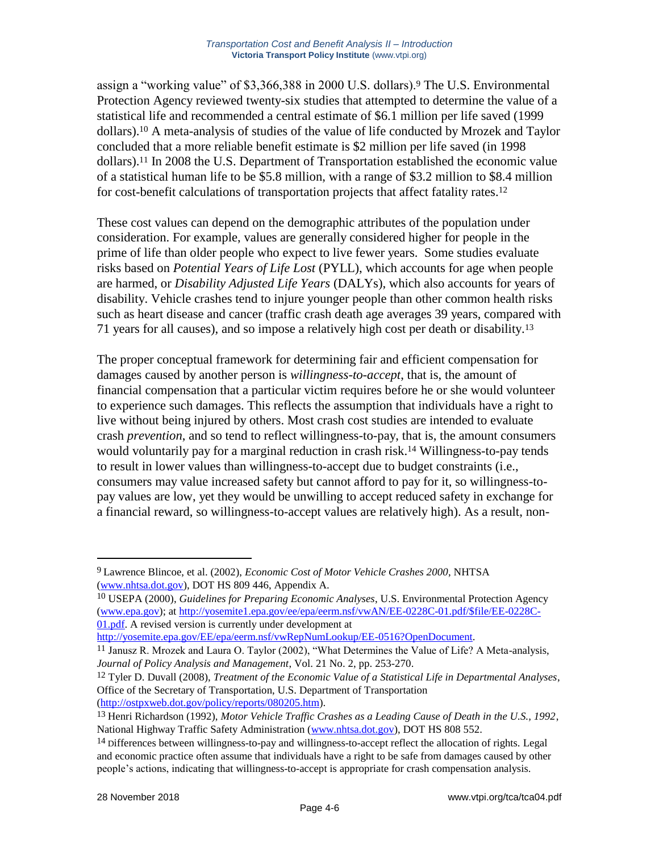assign a "working value" of \$3,366,388 in 2000 U.S. dollars).<sup>9</sup> The U.S. Environmental Protection Agency reviewed twenty-six studies that attempted to determine the value of a statistical life and recommended a central estimate of \$6.1 million per life saved (1999 dollars).<sup>10</sup> A meta-analysis of studies of the value of life conducted by Mrozek and Taylor concluded that a more reliable benefit estimate is \$2 million per life saved (in 1998 dollars).<sup>11</sup> In 2008 the U.S. Department of Transportation established the economic value of a statistical human life to be \$5.8 million, with a range of \$3.2 million to \$8.4 million for cost-benefit calculations of transportation projects that affect fatality rates.<sup>12</sup>

These cost values can depend on the demographic attributes of the population under consideration. For example, values are generally considered higher for people in the prime of life than older people who expect to live fewer years. Some studies evaluate risks based on *Potential Years of Life Lost* (PYLL), which accounts for age when people are harmed, or *Disability Adjusted Life Years* (DALYs), which also accounts for years of disability. Vehicle crashes tend to injure younger people than other common health risks such as heart disease and cancer (traffic crash death age averages 39 years, compared with 71 years for all causes), and so impose a relatively high cost per death or disability.<sup>13</sup>

The proper conceptual framework for determining fair and efficient compensation for damages caused by another person is *willingness-to-accept*, that is, the amount of financial compensation that a particular victim requires before he or she would volunteer to experience such damages. This reflects the assumption that individuals have a right to live without being injured by others. Most crash cost studies are intended to evaluate crash *prevention*, and so tend to reflect willingness-to-pay, that is, the amount consumers would voluntarily pay for a marginal reduction in crash risk.<sup>14</sup> Willingness-to-pay tends to result in lower values than willingness-to-accept due to budget constraints (i.e., consumers may value increased safety but cannot afford to pay for it, so willingness-topay values are low, yet they would be unwilling to accept reduced safety in exchange for a financial reward, so willingness-to-accept values are relatively high). As a result, non-

<sup>9</sup> Lawrence Blincoe, et al. (2002), *Economic Cost of Motor Vehicle Crashes 2000*, NHTSA [\(www.nhtsa.dot.gov\)](http://www.nhtsa.dot.gov/), DOT HS 809 446, Appendix A.

<sup>10</sup> USEPA (2000), *Guidelines for Preparing Economic Analyses*, U.S. Environmental Protection Agency [\(www.epa.gov\)](http://www.epa.gov/); at [http://yosemite1.epa.gov/ee/epa/eerm.nsf/vwAN/EE-0228C-01.pdf/\\$file/EE-0228C-](http://yosemite1.epa.gov/ee/epa/eerm.nsf/vwAN/EE-0228C-01.pdf/$file/EE-0228C-01.pdf)[01.pdf.](http://yosemite1.epa.gov/ee/epa/eerm.nsf/vwAN/EE-0228C-01.pdf/$file/EE-0228C-01.pdf) A revised version is currently under development at

[http://yosemite.epa.gov/EE/epa/eerm.nsf/vwRepNumLookup/EE-0516?OpenDocument.](http://yosemite.epa.gov/EE/epa/eerm.nsf/vwRepNumLookup/EE-0516?OpenDocument)

<sup>11</sup> Janusz R. Mrozek and Laura O. Taylor (2002), "What Determines the Value of Life? A Meta-analysis, *Journal of Policy Analysis and Management*, Vol. 21 No. 2, pp. 253-270.

<sup>12</sup> Tyler D. Duvall (2008), *Treatment of the Economic Value of a Statistical Life in Departmental Analyses*, Office of the Secretary of Transportation, U.S. Department of Transportation [\(http://ostpxweb.dot.gov/policy/reports/080205.htm\)](http://ostpxweb.dot.gov/policy/reports/080205.htm).

<sup>13</sup> Henri Richardson (1992), *Motor Vehicle Traffic Crashes as a Leading Cause of Death in the U.S., 1992*, National Highway Traffic Safety Administration [\(www.nhtsa.dot.gov\)](http://www.nhtsa.dot.gov/), DOT HS 808 552.

<sup>14</sup> Differences between willingness-to-pay and willingness-to-accept reflect the allocation of rights. Legal and economic practice often assume that individuals have a right to be safe from damages caused by other people's actions, indicating that willingness-to-accept is appropriate for crash compensation analysis.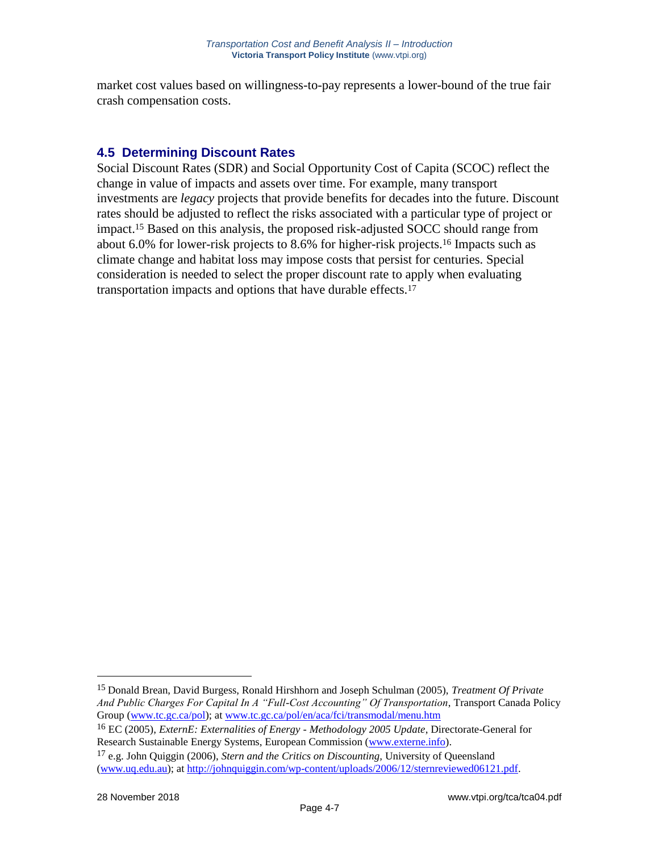market cost values based on willingness-to-pay represents a lower-bound of the true fair crash compensation costs.

## **4.5 Determining Discount Rates**

Social Discount Rates (SDR) and Social Opportunity Cost of Capita (SCOC) reflect the change in value of impacts and assets over time. For example, many transport investments are *legacy* projects that provide benefits for decades into the future. Discount rates should be adjusted to reflect the risks associated with a particular type of project or impact.<sup>15</sup> Based on this analysis, the proposed risk-adjusted SOCC should range from about 6.0% for lower-risk projects to 8.6% for higher-risk projects.<sup>16</sup> Impacts such as climate change and habitat loss may impose costs that persist for centuries. Special consideration is needed to select the proper discount rate to apply when evaluating transportation impacts and options that have durable effects.<sup>17</sup>

<sup>15</sup> Donald Brean, David Burgess, Ronald Hirshhorn and Joseph Schulman (2005), *Treatment Of Private And Public Charges For Capital In A "Full-Cost Accounting" Of Transportation*, Transport Canada Policy Group [\(www.tc.gc.ca/pol\)](http://www.tc.gc.ca/pol); at [www.tc.gc.ca/pol/en/aca/fci/transmodal/menu.htm](http://www.tc.gc.ca/pol/en/aca/fci/transmodal/menu.htm)

<sup>16</sup> EC (2005), *ExternE: Externalities of Energy - Methodology 2005 Update*, Directorate-General for Research Sustainable Energy Systems, European Commission [\(www.externe.info\)](http://www.externe.info/).

<sup>17</sup> e.g. John Quiggin (2006), *Stern and the Critics on Discounting,* University of Queensland [\(www.uq.edu.au\)](http://www.uq.edu.au/); at [http://johnquiggin.com/wp-content/uploads/2006/12/sternreviewed06121.pdf.](http://johnquiggin.com/wp-content/uploads/2006/12/sternreviewed06121.pdf)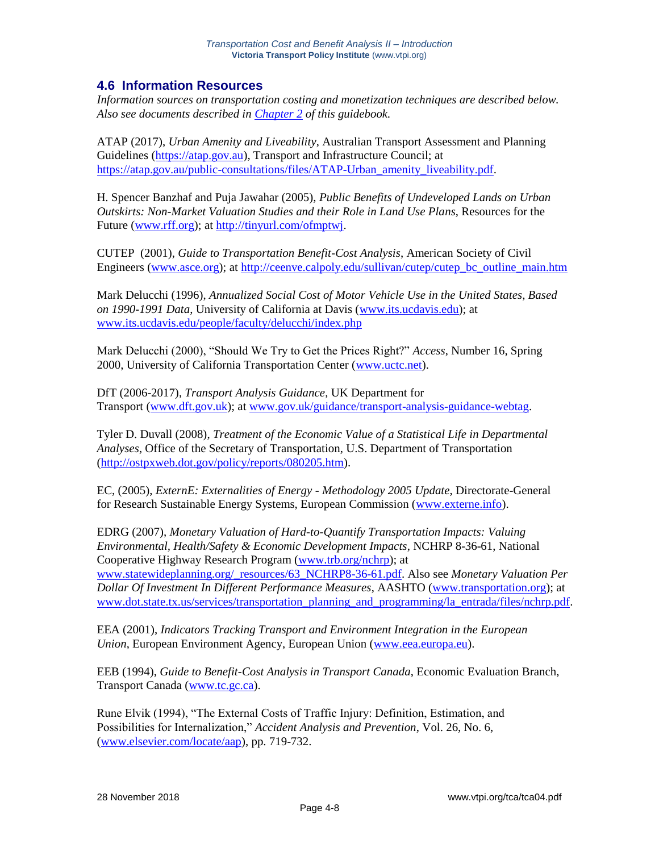### **4.6 Information Resources**

*Information sources on transportation costing and monetization techniques are described below. Also see documents described in [Chapter 2](http://www.vtpi.org/tca/tca02.pdf) of this guidebook.*

ATAP (2017), *Urban Amenity and Liveability*, Australian Transport Assessment and Planning Guidelines [\(https://atap.gov.au\)](https://atap.gov.au/), Transport and Infrastructure Council; at [https://atap.gov.au/public-consultations/files/ATAP-Urban\\_amenity\\_liveability.pdf.](https://atap.gov.au/public-consultations/files/ATAP-Urban_amenity_liveability.pdf)

H. Spencer Banzhaf and Puja Jawahar (2005), *Public Benefits of Undeveloped Lands on Urban Outskirts: Non-Market Valuation Studies and their Role in Land Use Plans*, Resources for the Future [\(www.rff.org\)](http://www.rff.org/); at [http://tinyurl.com/ofmptwj.](http://tinyurl.com/ofmptwj)

CUTEP (2001), *Guide to Transportation Benefit-Cost Analysis*, American Society of Civil Engineers [\(www.asce.org\)](http://www.asce.org/); at [http://ceenve.calpoly.edu/sullivan/cutep/cutep\\_bc\\_outline\\_main.htm](http://ceenve.calpoly.edu/sullivan/cutep/cutep_bc_outline_main.htm)

Mark Delucchi (1996), *Annualized Social Cost of Motor Vehicle Use in the United States, Based on 1990-1991 Data*, University of California at Davis [\(www.its.ucdavis.edu\)](http://www.its.ucdavis.edu/); at [www.its.ucdavis.edu/people/faculty/delucchi/index.php](http://www.its.ucdavis.edu/people/faculty/delucchi/index.php)

Mark Delucchi (2000), "Should We Try to Get the Prices Right?" *Access*, Number 16, Spring 2000, University of California Transportation Center [\(www.uctc.net\)](http://www.uctc.net/).

DfT (2006-2017), *Transport Analysis Guidance*, UK Department for Transport [\(www.dft.gov.uk\)](http://www.dft.gov.uk/); at [www.gov.uk/guidance/transport-analysis-guidance-webtag.](http://www.gov.uk/guidance/transport-analysis-guidance-webtag)

Tyler D. Duvall (2008), *Treatment of the Economic Value of a Statistical Life in Departmental Analyses*, Office of the Secretary of Transportation, U.S. Department of Transportation [\(http://ostpxweb.dot.gov/policy/reports/080205.htm\)](http://ostpxweb.dot.gov/policy/reports/080205.htm).

EC, (2005), *ExternE: Externalities of Energy - Methodology 2005 Update*, Directorate-General for Research Sustainable Energy Systems, European Commission [\(www.externe.info\)](http://www.externe.info/).

EDRG (2007), *Monetary Valuation of Hard-to-Quantify Transportation Impacts: Valuing Environmental, Health/Safety & Economic Development Impacts*, NCHRP 8-36-61, National Cooperative Highway Research Program [\(www.trb.org/nchrp\)](http://www.trb.org/nchrp); at [www.statewideplanning.org/\\_resources/63\\_NCHRP8-36-61.pdf.](http://www.statewideplanning.org/_resources/63_NCHRP8-36-61.pdf) Also see *Monetary Valuation Per Dollar Of Investment In Different Performance Measures*, AASHTO [\(www.transportation.org\)](http://www.transportation.org/); at [www.dot.state.tx.us/services/transportation\\_planning\\_and\\_programming/la\\_entrada/files/nchrp.pdf.](http://www.dot.state.tx.us/services/transportation_planning_and_programming/la_entrada/files/nchrp.pdf)

EEA (2001), *Indicators Tracking Transport and Environment Integration in the European Union*, European Environment Agency, European Union [\(www.eea.europa.eu\)](http://www.eea.europa.eu/).

EEB (1994), *Guide to Benefit-Cost Analysis in Transport Canada*, Economic Evaluation Branch, Transport Canada [\(www.tc.gc.ca\)](http://www.tc.gc.ca/).

Rune Elvik (1994), "The External Costs of Traffic Injury: Definition, Estimation, and Possibilities for Internalization," *Accident Analysis and Prevention*, Vol. 26, No. 6, [\(www.elsevier.com/locate/aap\)](http://www.elsevier.com/locate/aap), pp. 719-732.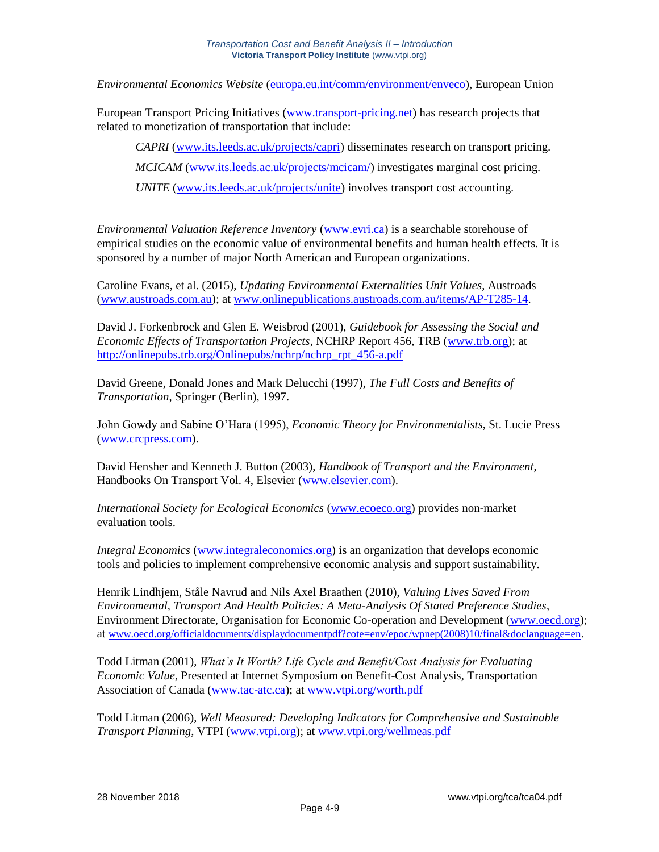*Environmental Economics Website* [\(europa.eu.int/comm/environment/enveco\)](http://europa.eu.int/comm/environment/enveco/), European Union

European Transport Pricing Initiatives [\(www.transport-pricing.net\)](http://www.transport-pricing.net/) has research projects that related to monetization of transportation that include:

*CAPRI* [\(www.its.leeds.ac.uk/projects/capri\)](http://www.its.leeds.ac.uk/projects/capri) disseminates research on transport pricing. *MCICAM* [\(www.its.leeds.ac.uk/projects/mcicam/\)](http://www.its.leeds.ac.uk/projects/mcicam/) investigates marginal cost pricing. *UNITE* [\(www.its.leeds.ac.uk/projects/unite\)](http://www.its.leeds.ac.uk/projects/unite) involves transport cost accounting.

*Environmental Valuation Reference Inventory* [\(www.evri.ca\)](http://www.evri.ca/) is a searchable storehouse of empirical studies on the economic value of environmental benefits and human health effects. It is sponsored by a number of major North American and European organizations.

Caroline Evans, et al. (2015), *Updating Environmental Externalities Unit Values*, Austroads [\(www.austroads.com.au\)](http://www.austroads.com.au/); at [www.onlinepublications.austroads.com.au/items/AP-T285-14.](http://www.onlinepublications.austroads.com.au/items/AP-T285-14)

David J. Forkenbrock and Glen E. Weisbrod (2001), *Guidebook for Assessing the Social and Economic Effects of Transportation Projects*, NCHRP Report 456, TRB [\(www.trb.org\)](http://www.trb.org/); at [http://onlinepubs.trb.org/Onlinepubs/nchrp/nchrp\\_rpt\\_456-a.pdf](http://onlinepubs.trb.org/Onlinepubs/nchrp/nchrp_rpt_456-a.pdf)

David Greene, Donald Jones and Mark Delucchi (1997), *The Full Costs and Benefits of Transportation*, Springer (Berlin), 1997.

John Gowdy and Sabine O'Hara (1995), *Economic Theory for Environmentalists*, St. Lucie Press [\(www.crcpress.com\)](http://www.crcpress.com/).

David Hensher and Kenneth J. Button (2003), *Handbook of Transport and the Environment*, Handbooks On Transport Vol. 4, Elsevier [\(www.elsevier.com\)](http://www.elsevier.com/).

*International Society for Ecological Economics* [\(www.ecoeco.org\)](http://www.ecoeco.org/) provides non-market evaluation tools.

*Integral Economics* [\(www.integraleconomics.org\)](http://www.integraleconomics.org/) is an organization that develops economic tools and policies to implement comprehensive economic analysis and support sustainability.

Henrik Lindhjem, Ståle Navrud and Nils Axel Braathen (2010), *Valuing Lives Saved From Environmental, Transport And Health Policies: A Meta-Analysis Of Stated Preference Studies*, Environment Directorate, Organisation for Economic Co-operation and Development [\(www.oecd.org\)](http://www.oecd.org/); at [www.oecd.org/officialdocuments/displaydocumentpdf?cote=env/epoc/wpnep\(2008\)10/final&doclanguage=en.](http://www.oecd.org/officialdocuments/displaydocumentpdf?cote=env/epoc/wpnep(2008)10/final&doclanguage=en)

Todd Litman (2001), *What's It Worth? Life Cycle and Benefit/Cost Analysis for Evaluating Economic Value*, Presented at Internet Symposium on Benefit-Cost Analysis, Transportation Association of Canada [\(www.tac-atc.ca\)](http://www.tac-atc.ca/); at [www.vtpi.org/worth.pdf](http://www.vtpi.org/worth.pdf)

Todd Litman (2006), *Well Measured: Developing Indicators for Comprehensive and Sustainable Transport Planning*, VTPI [\(www.vtpi.org\)](http://www.vtpi.org/); at [www.vtpi.org/wellmeas.pdf](http://www.vtpi.org/wellmeas.pdf)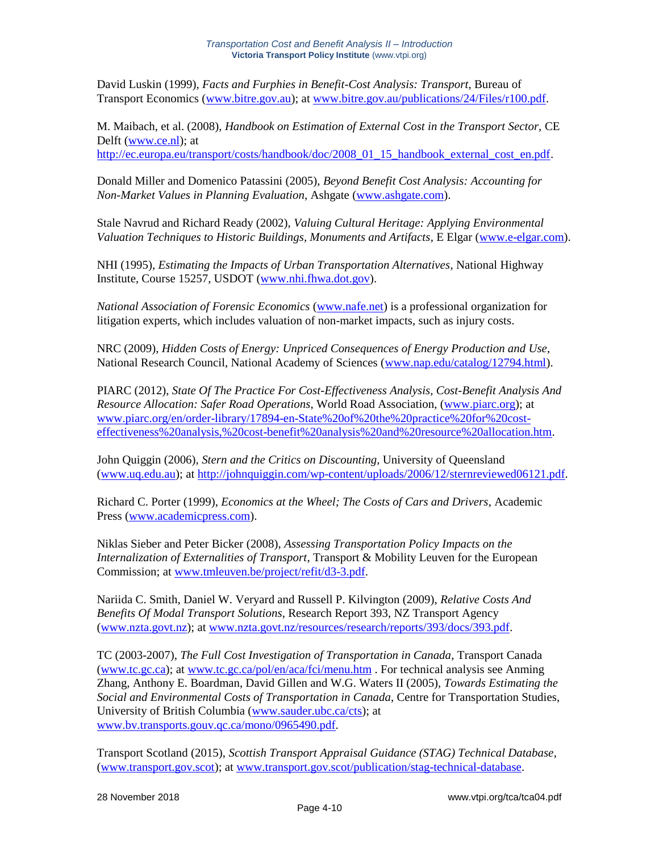David Luskin (1999), *Facts and Furphies in Benefit-Cost Analysis: Transport*, Bureau of Transport Economics [\(www.bitre.gov.au\)](http://www.bitre.gov.au/); at [www.bitre.gov.au/publications/24/Files/r100.pdf.](http://www.bitre.gov.au/publications/24/Files/r100.pdf)

M. Maibach, et al. (2008), *Handbook on Estimation of External Cost in the Transport Sector,* CE Delft [\(www.ce.nl\)](http://www.ce.nl/); at [http://ec.europa.eu/transport/costs/handbook/doc/2008\\_01\\_15\\_handbook\\_external\\_cost\\_en.pdf.](http://ec.europa.eu/transport/costs/handbook/doc/2008_01_15_handbook_external_cost_en.pdf)

Donald Miller and Domenico Patassini (2005), *Beyond Benefit Cost Analysis: Accounting for Non-Market Values in Planning Evaluation*, Ashgate [\(www.ashgate.com\)](http://www.ashgate.com/).

Stale Navrud and Richard Ready (2002), *Valuing Cultural Heritage: Applying Environmental Valuation Techniques to Historic Buildings, Monuments and Artifacts*, E Elgar [\(www.e-elgar.com\)](http://www.e-elgar.com/).

NHI (1995), *Estimating the Impacts of Urban Transportation Alternatives*, National Highway Institute, Course 15257, USDOT [\(www.nhi.fhwa.dot.gov\)](http://www.nhi.fhwa.dot.gov/).

*National Association of Forensic Economics* [\(www.nafe.net\)](http://www.nafe.net/) is a professional organization for litigation experts, which includes valuation of non-market impacts, such as injury costs.

NRC (2009), *Hidden Costs of Energy: Unpriced Consequences of Energy Production and Use*, National Research Council, National Academy of Sciences [\(www.nap.edu/catalog/12794.html\)](http://www.nap.edu/catalog/12794.html).

PIARC (2012), *State Of The Practice For Cost-Effectiveness Analysis, Cost-Benefit Analysis And Resource Allocation: Safer Road Operations*, World Road Association, [\(www.piarc.org\)](http://www.piarc.org/); at [www.piarc.org/en/order-library/17894-en-State%20of%20the%20practice%20for%20cost](http://www.piarc.org/en/order-library/17894-en-State%20of%20the%20practice%20for%20cost-effectiveness%20analysis,%20cost-benefit%20analysis%20and%20resource%20allocation.htm)[effectiveness%20analysis,%20cost-benefit%20analysis%20and%20resource%20allocation.htm.](http://www.piarc.org/en/order-library/17894-en-State%20of%20the%20practice%20for%20cost-effectiveness%20analysis,%20cost-benefit%20analysis%20and%20resource%20allocation.htm)

John Quiggin (2006), *Stern and the Critics on Discounting,* University of Queensland [\(www.uq.edu.au\)](http://www.uq.edu.au/); at [http://johnquiggin.com/wp-content/uploads/2006/12/sternreviewed06121.pdf.](http://johnquiggin.com/wp-content/uploads/2006/12/sternreviewed06121.pdf)

Richard C. Porter (1999), *Economics at the Wheel; The Costs of Cars and Drivers*, Academic Press [\(www.academicpress.com\)](http://www.academicpress.com/).

Niklas Sieber and Peter Bicker (2008), *Assessing Transportation Policy Impacts on the Internalization of Externalities of Transport*, Transport & Mobility Leuven for the European Commission; at [www.tmleuven.be/project/refit/d3-3.pdf.](http://www.tmleuven.be/project/refit/d3-3.pdf)

Nariida C. Smith, Daniel W. Veryard and Russell P. Kilvington (2009), *Relative Costs And Benefits Of Modal Transport Solutions*, Research Report 393, NZ Transport Agency [\(www.nzta.govt.nz\)](http://www.nzta.govt.nz/); at [www.nzta.govt.nz/resources/research/reports/393/docs/393.pdf.](http://www.nzta.govt.nz/resources/research/reports/393/docs/393.pdf)

TC (2003-2007), *The Full Cost Investigation of Transportation in Canada*, Transport Canada [\(www.tc.gc.ca\)](http://www.tc.gc.ca/); at [www.tc.gc.ca/pol/en/aca/fci/menu.htm](http://www.tc.gc.ca/pol/en/aca/fci/menu.htm) . For technical analysis see Anming Zhang, Anthony E. Boardman, David Gillen and W.G. Waters II (2005), *Towards Estimating the Social and Environmental Costs of Transportation in Canada*, Centre for Transportation Studies, University of British Columbia [\(www.sauder.ubc.ca/cts\)](http://www.sauder.ubc.ca/cts); at [www.bv.transports.gouv.qc.ca/mono/0965490.pdf.](http://www.bv.transports.gouv.qc.ca/mono/0965490.pdf)

Transport Scotland (2015), *Scottish Transport Appraisal Guidance (STAG) Technical Database*, [\(www.transport.gov.scot\)](http://www.transport.gov.scot/); at [www.transport.gov.scot/publication/stag-technical-database.](http://www.transport.gov.scot/publication/stag-technical-database/)